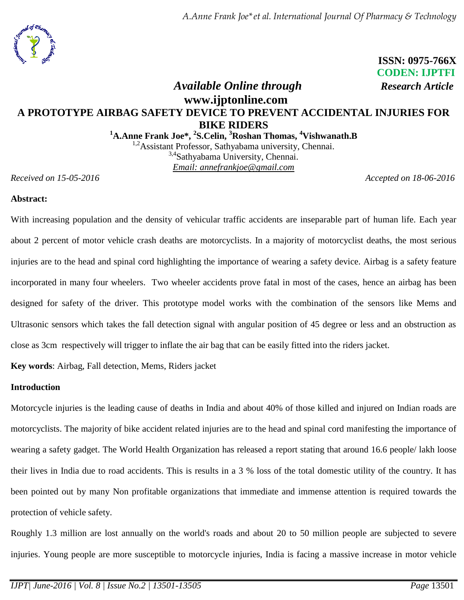*A.Anne Frank Joe\*et al. International Journal Of Pharmacy & Technology* 



 **ISSN: 0975-766X CODEN: IJPTFI**

# *Available Online through Research Article* **www.ijptonline.com A PROTOTYPE AIRBAG SAFETY DEVICE TO PREVENT ACCIDENTAL INJURIES FOR BIKE RIDERS**

**<sup>1</sup>A.Anne Frank Joe\*, <sup>2</sup> S.Celin, <sup>3</sup>Roshan Thomas, <sup>4</sup>Vishwanath.B**

<sup>1,2</sup>Assistant Professor, Sathyabama university, Chennai. <sup>3,4</sup>Sathyabama University, Chennai. *Email: annefrankjoe@gmail.com*

*Received on 15-05-2016* Accepted on 18-06-2016

# **Abstract:**

With increasing population and the density of vehicular traffic accidents are inseparable part of human life. Each year about 2 percent of motor vehicle crash deaths are motorcyclists. In a majority of motorcyclist deaths, the most serious injuries are to the head and spinal cord highlighting the importance of wearing a safety device. Airbag is a safety feature incorporated in many four wheelers. Two wheeler accidents prove fatal in most of the cases, hence an airbag has been designed for safety of the driver. This prototype model works with the combination of the sensors like Mems and Ultrasonic sensors which takes the fall detection signal with angular position of 45 degree or less and an obstruction as close as 3cm respectively will trigger to inflate the air bag that can be easily fitted into the riders jacket.

**Key words**: Airbag, Fall detection, Mems, Riders jacket

# **Introduction**

Motorcycle injuries is the leading cause of deaths in India and about 40% of those killed and injured on Indian roads are motorcyclists. The majority of bike accident related injuries are to the head and spinal cord manifesting the importance of wearing a safety gadget. The World Health Organization has released a report stating that around 16.6 people/ lakh loose their lives in India due to road accidents. This is results in a 3 % loss of the total domestic utility of the country. It has been pointed out by many Non profitable organizations that immediate and immense attention is required towards the protection of vehicle safety.

Roughly 1.3 million are lost annually on the world's roads and about 20 to 50 million people are subjected to severe injuries. Young people are more susceptible to motorcycle injuries, India is facing a massive increase in motor vehicle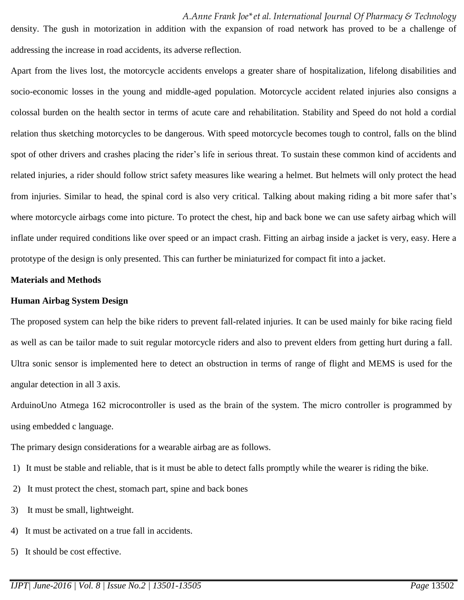density. The gush in motorization in addition with the expansion of road network has proved to be a challenge of addressing the increase in road accidents, its adverse reflection.

Apart from the lives lost, the motorcycle accidents envelops a greater share of hospitalization, lifelong disabilities and socio-economic losses in the young and middle-aged population. Motorcycle accident related injuries also consigns a colossal burden on the health sector in terms of acute care and rehabilitation. Stability and Speed do not hold a cordial relation thus sketching motorcycles to be dangerous. With speed motorcycle becomes tough to control, falls on the blind spot of other drivers and crashes placing the rider's life in serious threat. To sustain these common kind of accidents and related injuries, a rider should follow strict safety measures like wearing a helmet. But helmets will only protect the head from injuries. Similar to head, the spinal cord is also very critical. Talking about making riding a bit more safer that's where motorcycle airbags come into picture. To protect the chest, hip and back bone we can use safety airbag which will inflate under required conditions like over speed or an impact crash. Fitting an airbag inside a jacket is very, easy. Here a prototype of the design is only presented. This can further be miniaturized for compact fit into a jacket.

### **Materials and Methods**

#### **Human Airbag System Design**

The proposed system can help the bike riders to prevent fall-related injuries. It can be used mainly for bike racing field as well as can be tailor made to suit regular motorcycle riders and also to prevent elders from getting hurt during a fall. Ultra sonic sensor is implemented here to detect an obstruction in terms of range of flight and MEMS is used for the angular detection in all 3 axis.

ArduinoUno Atmega 162 microcontroller is used as the brain of the system. The micro controller is programmed by using embedded c language.

The primary design considerations for a wearable airbag are as follows.

- 1) It must be stable and reliable, that is it must be able to detect falls promptly while the wearer is riding the bike.
- 2) It must protect the chest, stomach part, spine and back bones
- 3) It must be small, lightweight.
- 4) It must be activated on a true fall in accidents.
- 5) It should be cost effective.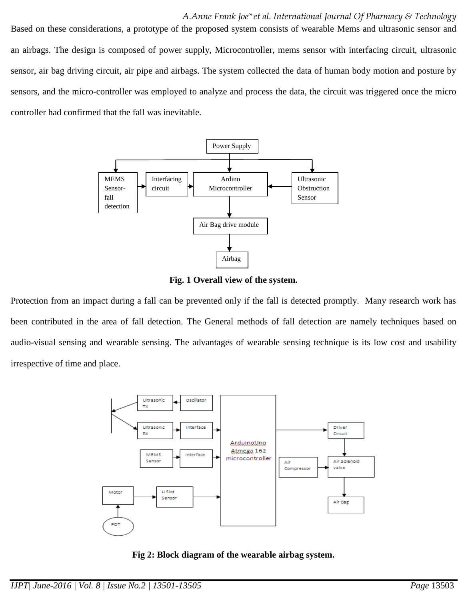#### *A.Anne Frank Joe\*et al. International Journal Of Pharmacy & Technology*

Based on these considerations, a prototype of the proposed system consists of wearable Mems and ultrasonic sensor and an airbags. The design is composed of power supply, Microcontroller, mems sensor with interfacing circuit, ultrasonic sensor, air bag driving circuit, air pipe and airbags. The system collected the data of human body motion and posture by sensors, and the micro-controller was employed to analyze and process the data, the circuit was triggered once the micro controller had confirmed that the fall was inevitable.



**Fig. 1 Overall view of the system.**

Protection from an impact during a fall can be prevented only if the fall is detected promptly. Many research work has been contributed in the area of fall detection. The General methods of fall detection are namely techniques based on audio-visual sensing and wearable sensing. The advantages of wearable sensing technique is its low cost and usability irrespective of time and place.



**Fig 2: Block diagram of the wearable airbag system.**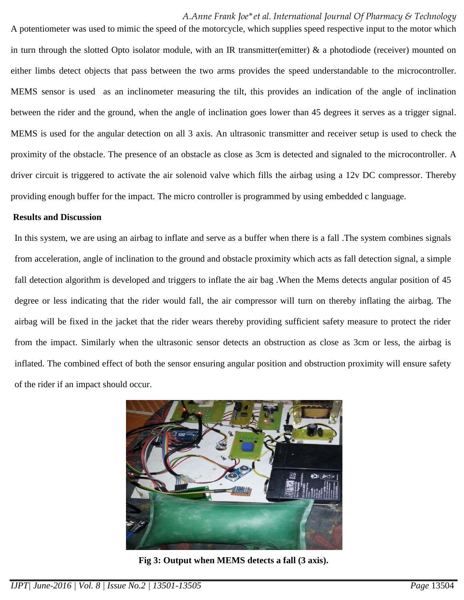### *A.Anne Frank Joe\*et al. International Journal Of Pharmacy & Technology*

A potentiometer was used to mimic the speed of the motorcycle, which supplies speed respective input to the motor which in turn through the slotted Opto isolator module, with an IR transmitter(emitter)  $\&$  a photodiode (receiver) mounted on either limbs detect objects that pass between the two arms provides the speed understandable to the microcontroller. MEMS sensor is used as an inclinometer measuring the tilt, this provides an indication of the angle of inclination between the rider and the ground, when the angle of inclination goes lower than 45 degrees it serves as a trigger signal. MEMS is used for the angular detection on all 3 axis. An ultrasonic transmitter and receiver setup is used to check the proximity of the obstacle. The presence of an obstacle as close as 3cm is detected and signaled to the microcontroller. A driver circuit is triggered to activate the air solenoid valve which fills the airbag using a 12v DC compressor. Thereby providing enough buffer for the impact. The micro controller is programmed by using embedded c language.

#### **Results and Discussion**

In this system, we are using an airbag to inflate and serve as a buffer when there is a fall .The system combines signals from acceleration, angle of inclination to the ground and obstacle proximity which acts as fall detection signal, a simple fall detection algorithm is developed and triggers to inflate the air bag .When the Mems detects angular position of 45 degree or less indicating that the rider would fall, the air compressor will turn on thereby inflating the airbag. The airbag will be fixed in the jacket that the rider wears thereby providing sufficient safety measure to protect the rider from the impact. Similarly when the ultrasonic sensor detects an obstruction as close as 3cm or less, the airbag is inflated. The combined effect of both the sensor ensuring angular position and obstruction proximity will ensure safety of the rider if an impact should occur.



**Fig 3: Output when MEMS detects a fall (3 axis).**